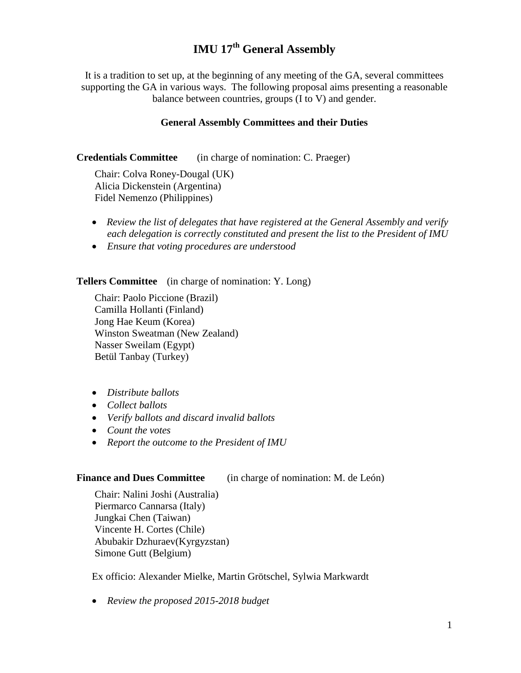# **IMU 17th General Assembly**

It is a tradition to set up, at the beginning of any meeting of the GA, several committees supporting the GA in various ways. The following proposal aims presenting a reasonable balance between countries, groups (I to V) and gender.

#### **General Assembly Committees and their Duties**

**Credentials Committee** (in charge of nomination: C. Praeger)

Chair: Colva Roney-Dougal (UK) Alicia Dickenstein (Argentina) Fidel Nemenzo (Philippines)

- *Review the list of delegates that have registered at the General Assembly and verify each delegation is correctly constituted and present the list to the President of IMU*
- *Ensure that voting procedures are understood*

**Tellers Committee** (in charge of nomination: Y. Long)

Chair: Paolo Piccione (Brazil) Camilla Hollanti (Finland) Jong Hae Keum (Korea) Winston Sweatman (New Zealand) Nasser Sweilam (Egypt) Betül Tanbay (Turkey)

- *Distribute ballots*
- *Collect ballots*
- *Verify ballots and discard invalid ballots*
- *Count the votes*
- *Report the outcome to the President of IMU*

#### **Finance and Dues Committee** (in charge of nomination: M. de León)

Chair: Nalini Joshi (Australia) Piermarco Cannarsa (Italy) Jungkai Chen (Taiwan) Vincente H. Cortes (Chile) Abubakir Dzhuraev(Kyrgyzstan) Simone Gutt (Belgium)

Ex officio: Alexander Mielke, Martin Grötschel, Sylwia Markwardt

• *Review the proposed 2015-2018 budget*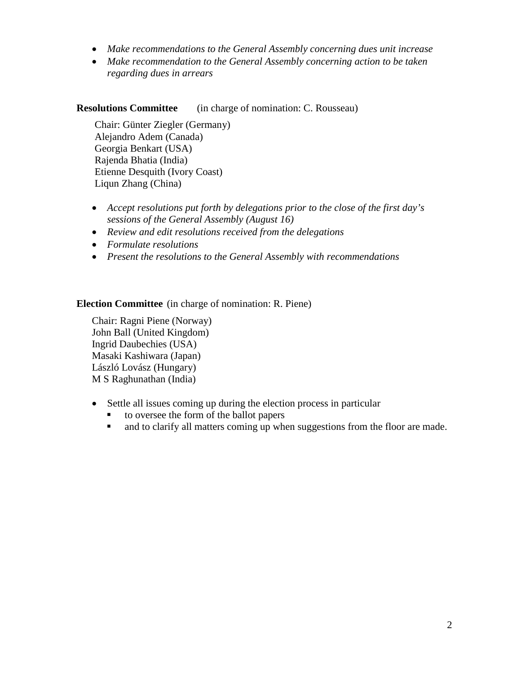- *Make recommendations to the General Assembly concerning dues unit increase*
- *Make recommendation to the General Assembly concerning action to be taken regarding dues in arrears*

### **Resolutions Committee** (in charge of nomination: C. Rousseau)

Chair: Günter Ziegler (Germany) Alejandro Adem (Canada) Georgia Benkart (USA) Rajenda Bhatia (India) Etienne Desquith (Ivory Coast) Liqun Zhang (China)

- *Accept resolutions put forth by delegations prior to the close of the first day's sessions of the General Assembly (August 16)*
- *Review and edit resolutions received from the delegations*
- *Formulate resolutions*
- *Present the resolutions to the General Assembly with recommendations*

### **Election Committee** (in charge of nomination: R. Piene)

Chair: Ragni Piene (Norway) John Ball (United Kingdom) Ingrid Daubechies (USA) Masaki Kashiwara (Japan) László Lovász (Hungary) M S Raghunathan (India)

- Settle all issues coming up during the election process in particular
	- to oversee the form of the ballot papers
	- and to clarify all matters coming up when suggestions from the floor are made.